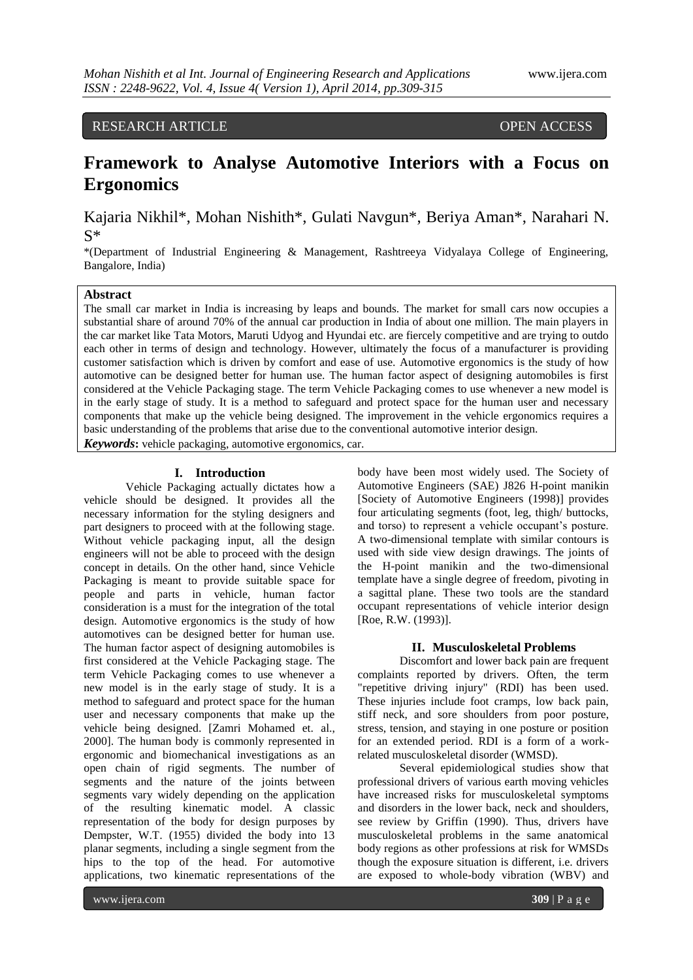# RESEARCH ARTICLE OPEN ACCESS

# **Framework to Analyse Automotive Interiors with a Focus on Ergonomics**

Kajaria Nikhil\*, Mohan Nishith\*, Gulati Navgun\*, Beriya Aman\*, Narahari N. S\*

\*(Department of Industrial Engineering & Management, Rashtreeya Vidyalaya College of Engineering, Bangalore, India)

# **Abstract**

The small car market in India is increasing by leaps and bounds. The market for small cars now occupies a substantial share of around 70% of the annual car production in India of about one million. The main players in the car market like Tata Motors, Maruti Udyog and Hyundai etc. are fiercely competitive and are trying to outdo each other in terms of design and technology. However, ultimately the focus of a manufacturer is providing customer satisfaction which is driven by comfort and ease of use. Automotive ergonomics is the study of how automotive can be designed better for human use. The human factor aspect of designing automobiles is first considered at the Vehicle Packaging stage. The term Vehicle Packaging comes to use whenever a new model is in the early stage of study. It is a method to safeguard and protect space for the human user and necessary components that make up the vehicle being designed. The improvement in the vehicle ergonomics requires a basic understanding of the problems that arise due to the conventional automotive interior design. *Keywords***:** vehicle packaging, automotive ergonomics, car.

#### **I. Introduction**

Vehicle Packaging actually dictates how a vehicle should be designed. It provides all the necessary information for the styling designers and part designers to proceed with at the following stage. Without vehicle packaging input, all the design engineers will not be able to proceed with the design concept in details. On the other hand, since Vehicle Packaging is meant to provide suitable space for people and parts in vehicle, human factor consideration is a must for the integration of the total design. Automotive ergonomics is the study of how automotives can be designed better for human use. The human factor aspect of designing automobiles is first considered at the Vehicle Packaging stage. The term Vehicle Packaging comes to use whenever a new model is in the early stage of study. It is a method to safeguard and protect space for the human user and necessary components that make up the vehicle being designed. [Zamri Mohamed et. al., 2000]. The human body is commonly represented in ergonomic and biomechanical investigations as an open chain of rigid segments. The number of segments and the nature of the joints between segments vary widely depending on the application of the resulting kinematic model. A classic representation of the body for design purposes by Dempster, W.T. (1955) divided the body into 13 planar segments, including a single segment from the hips to the top of the head. For automotive applications, two kinematic representations of the

body have been most widely used. The Society of Automotive Engineers (SAE) J826 H-point manikin [Society of Automotive Engineers (1998)] provides four articulating segments (foot, leg, thigh/ buttocks, and torso) to represent a vehicle occupant's posture. A two-dimensional template with similar contours is used with side view design drawings. The joints of the H-point manikin and the two-dimensional template have a single degree of freedom, pivoting in a sagittal plane. These two tools are the standard occupant representations of vehicle interior design [Roe, R.W. (1993)].

# **II. Musculoskeletal Problems**

Discomfort and lower back pain are frequent complaints reported by drivers. Often, the term "repetitive driving injury" (RDI) has been used. These injuries include foot cramps, low back pain, stiff neck, and sore shoulders from poor posture, stress, tension, and staying in one posture or position for an extended period. RDI is a form of a workrelated musculoskeletal disorder (WMSD).

Several epidemiological studies show that professional drivers of various earth moving vehicles have increased risks for musculoskeletal symptoms and disorders in the lower back, neck and shoulders, see review by Griffin (1990). Thus, drivers have musculoskeletal problems in the same anatomical body regions as other professions at risk for WMSDs though the exposure situation is different, i.e. drivers are exposed to whole-body vibration (WBV) and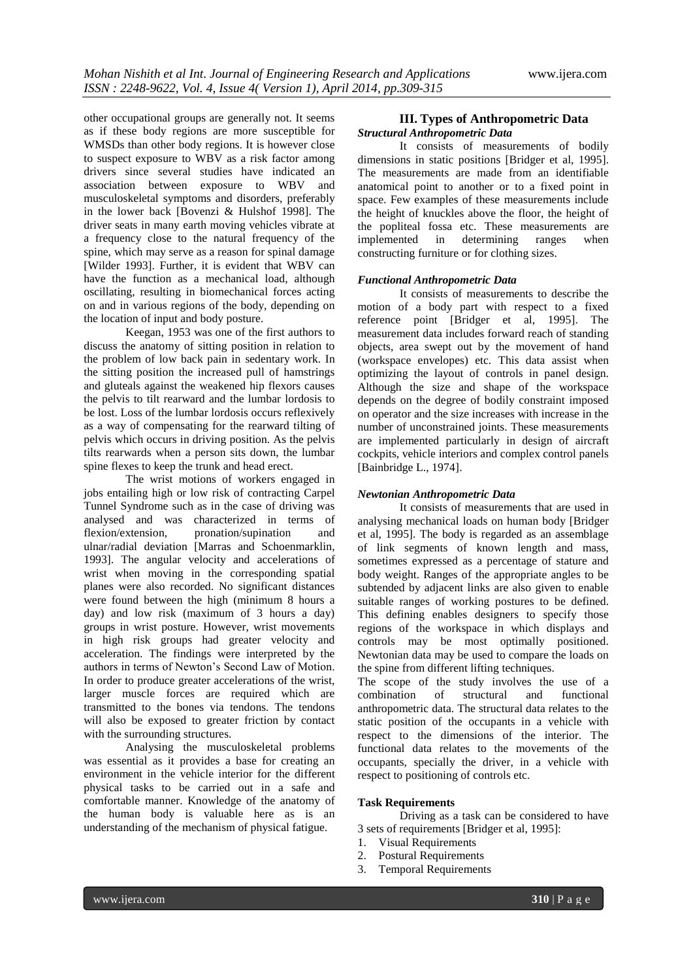other occupational groups are generally not. It seems as if these body regions are more susceptible for WMSDs than other body regions. It is however close to suspect exposure to WBV as a risk factor among drivers since several studies have indicated an association between exposure to WBV and musculoskeletal symptoms and disorders, preferably in the lower back [Bovenzi & Hulshof 1998]. The driver seats in many earth moving vehicles vibrate at a frequency close to the natural frequency of the spine, which may serve as a reason for spinal damage [Wilder 1993]. Further, it is evident that WBV can have the function as a mechanical load, although oscillating, resulting in biomechanical forces acting on and in various regions of the body, depending on the location of input and body posture.

Keegan, 1953 was one of the first authors to discuss the anatomy of sitting position in relation to the problem of low back pain in sedentary work. In the sitting position the increased pull of hamstrings and gluteals against the weakened hip flexors causes the pelvis to tilt rearward and the lumbar lordosis to be lost. Loss of the lumbar lordosis occurs reflexively as a way of compensating for the rearward tilting of pelvis which occurs in driving position. As the pelvis tilts rearwards when a person sits down, the lumbar spine flexes to keep the trunk and head erect.

The wrist motions of workers engaged in jobs entailing high or low risk of contracting Carpel Tunnel Syndrome such as in the case of driving was analysed and was characterized in terms of flexion/extension, pronation/supination and ulnar/radial deviation [Marras and Schoenmarklin, 1993]. The angular velocity and accelerations of wrist when moving in the corresponding spatial planes were also recorded. No significant distances were found between the high (minimum 8 hours a day) and low risk (maximum of 3 hours a day) groups in wrist posture. However, wrist movements in high risk groups had greater velocity and acceleration. The findings were interpreted by the authors in terms of Newton's Second Law of Motion. In order to produce greater accelerations of the wrist, larger muscle forces are required which are transmitted to the bones via tendons. The tendons will also be exposed to greater friction by contact with the surrounding structures.

Analysing the musculoskeletal problems was essential as it provides a base for creating an environment in the vehicle interior for the different physical tasks to be carried out in a safe and comfortable manner. Knowledge of the anatomy of the human body is valuable here as is an understanding of the mechanism of physical fatigue.

# **III. Types of Anthropometric Data** *Structural Anthropometric Data*

It consists of measurements of bodily dimensions in static positions [Bridger et al, 1995]. The measurements are made from an identifiable anatomical point to another or to a fixed point in space. Few examples of these measurements include the height of knuckles above the floor, the height of the popliteal fossa etc. These measurements are implemented in determining ranges when constructing furniture or for clothing sizes.

# *Functional Anthropometric Data*

It consists of measurements to describe the motion of a body part with respect to a fixed reference point [Bridger et al, 1995]. The measurement data includes forward reach of standing objects, area swept out by the movement of hand (workspace envelopes) etc. This data assist when optimizing the layout of controls in panel design. Although the size and shape of the workspace depends on the degree of bodily constraint imposed on operator and the size increases with increase in the number of unconstrained joints. These measurements are implemented particularly in design of aircraft cockpits, vehicle interiors and complex control panels [Bainbridge L., 1974].

# *Newtonian Anthropometric Data*

It consists of measurements that are used in analysing mechanical loads on human body [Bridger et al, 1995]. The body is regarded as an assemblage of link segments of known length and mass, sometimes expressed as a percentage of stature and body weight. Ranges of the appropriate angles to be subtended by adjacent links are also given to enable suitable ranges of working postures to be defined. This defining enables designers to specify those regions of the workspace in which displays and controls may be most optimally positioned. Newtonian data may be used to compare the loads on the spine from different lifting techniques.

The scope of the study involves the use of a combination of structural and functional anthropometric data. The structural data relates to the static position of the occupants in a vehicle with respect to the dimensions of the interior. The functional data relates to the movements of the occupants, specially the driver, in a vehicle with respect to positioning of controls etc.

# **Task Requirements**

Driving as a task can be considered to have 3 sets of requirements [Bridger et al, 1995]:

- 1. Visual Requirements
- 2. Postural Requirements
- 3. Temporal Requirements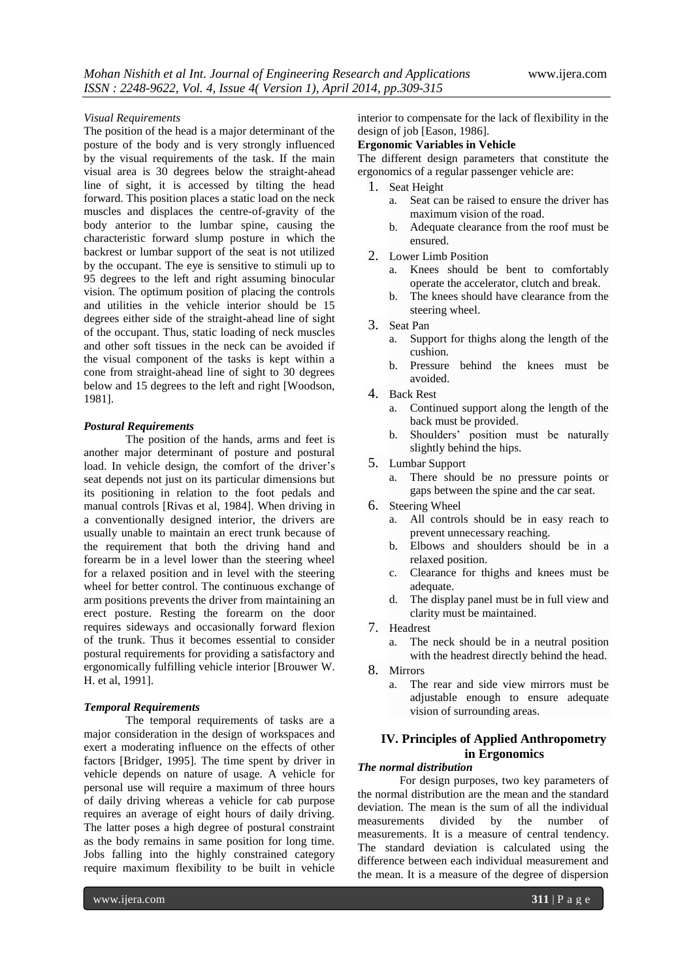#### *Visual Requirements*

The position of the head is a major determinant of the posture of the body and is very strongly influenced by the visual requirements of the task. If the main visual area is 30 degrees below the straight-ahead line of sight, it is accessed by tilting the head forward. This position places a static load on the neck muscles and displaces the centre-of-gravity of the body anterior to the lumbar spine, causing the characteristic forward slump posture in which the backrest or lumbar support of the seat is not utilized by the occupant. The eye is sensitive to stimuli up to 95 degrees to the left and right assuming binocular vision. The optimum position of placing the controls and utilities in the vehicle interior should be 15 degrees either side of the straight-ahead line of sight of the occupant. Thus, static loading of neck muscles and other soft tissues in the neck can be avoided if the visual component of the tasks is kept within a cone from straight-ahead line of sight to 30 degrees below and 15 degrees to the left and right [Woodson, 1981].

#### *Postural Requirements*

The position of the hands, arms and feet is another major determinant of posture and postural load. In vehicle design, the comfort of the driver's seat depends not just on its particular dimensions but its positioning in relation to the foot pedals and manual controls [Rivas et al, 1984]. When driving in a conventionally designed interior, the drivers are usually unable to maintain an erect trunk because of the requirement that both the driving hand and forearm be in a level lower than the steering wheel for a relaxed position and in level with the steering wheel for better control. The continuous exchange of arm positions prevents the driver from maintaining an erect posture. Resting the forearm on the door requires sideways and occasionally forward flexion of the trunk. Thus it becomes essential to consider postural requirements for providing a satisfactory and ergonomically fulfilling vehicle interior [Brouwer W. H. et al, 1991].

#### *Temporal Requirements*

The temporal requirements of tasks are a major consideration in the design of workspaces and exert a moderating influence on the effects of other factors [Bridger, 1995]. The time spent by driver in vehicle depends on nature of usage. A vehicle for personal use will require a maximum of three hours of daily driving whereas a vehicle for cab purpose requires an average of eight hours of daily driving. The latter poses a high degree of postural constraint as the body remains in same position for long time. Jobs falling into the highly constrained category require maximum flexibility to be built in vehicle

interior to compensate for the lack of flexibility in the design of job [Eason, 1986].

# **Ergonomic Variables in Vehicle**

The different design parameters that constitute the ergonomics of a regular passenger vehicle are:

- 1. Seat Height
	- a. Seat can be raised to ensure the driver has maximum vision of the road.
	- b. Adequate clearance from the roof must be ensured.
- 2. Lower Limb Position
	- a. Knees should be bent to comfortably operate the accelerator, clutch and break.
	- b. The knees should have clearance from the steering wheel.
- 3. Seat Pan
	- a. Support for thighs along the length of the cushion.
	- b. Pressure behind the knees must be avoided.
- 4. Back Rest
	- a. Continued support along the length of the back must be provided.
	- b. Shoulders' position must be naturally slightly behind the hips.
- 5. Lumbar Support
	- a. There should be no pressure points or gaps between the spine and the car seat.
- 6. Steering Wheel
	- a. All controls should be in easy reach to prevent unnecessary reaching.
	- b. Elbows and shoulders should be in a relaxed position.
	- c. Clearance for thighs and knees must be adequate.
	- d. The display panel must be in full view and clarity must be maintained.
- 7. Headrest
	- a. The neck should be in a neutral position with the headrest directly behind the head.
- 8. Mirrors
	- a. The rear and side view mirrors must be adjustable enough to ensure adequate vision of surrounding areas.

# **IV. Principles of Applied Anthropometry in Ergonomics**

# *The normal distribution*

For design purposes, two key parameters of the normal distribution are the mean and the standard deviation. The mean is the sum of all the individual measurements divided by the number of measurements. It is a measure of central tendency. The standard deviation is calculated using the difference between each individual measurement and the mean. It is a measure of the degree of dispersion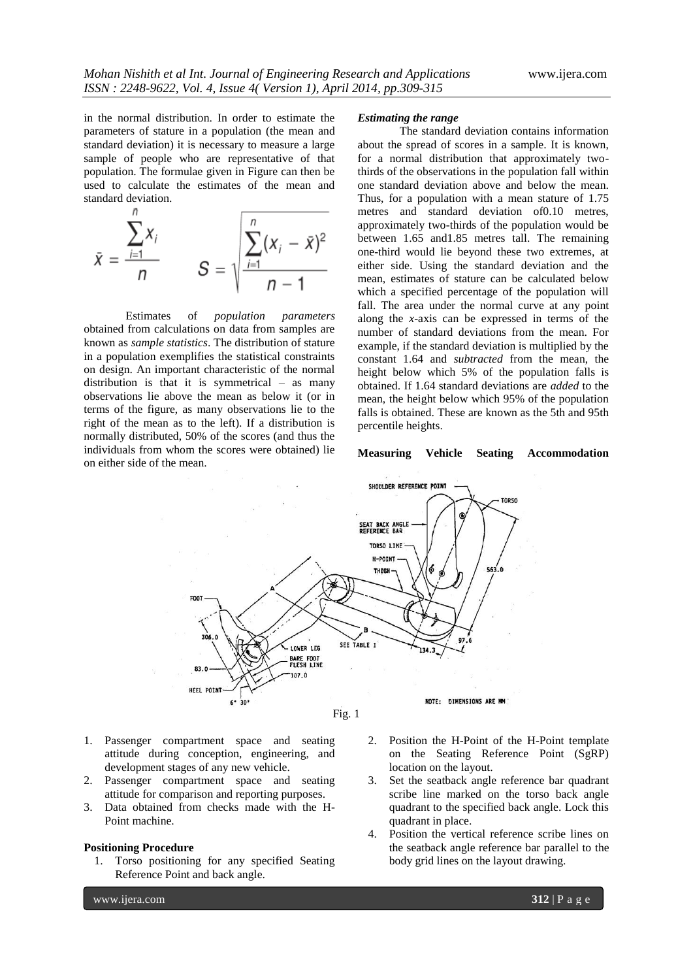in the normal distribution. In order to estimate the parameters of stature in a population (the mean and standard deviation) it is necessary to measure a large sample of people who are representative of that population. The formulae given in Figure can then be used to calculate the estimates of the mean and standard deviation.

$$
\bar{x} = \frac{\sum_{i=1}^{n} x_i}{n} \qquad S = \sqrt{\frac{\sum_{i=1}^{n} (x_i - \bar{x})^2}{n-1}}
$$

Estimates of *population parameters*  obtained from calculations on data from samples are known as *sample statistics*. The distribution of stature in a population exemplifies the statistical constraints on design. An important characteristic of the normal distribution is that it is symmetrical – as many observations lie above the mean as below it (or in terms of the figure, as many observations lie to the right of the mean as to the left). If a distribution is normally distributed, 50% of the scores (and thus the individuals from whom the scores were obtained) lie on either side of the mean.

#### *Estimating the range*

The standard deviation contains information about the spread of scores in a sample. It is known, for a normal distribution that approximately twothirds of the observations in the population fall within one standard deviation above and below the mean. Thus, for a population with a mean stature of 1.75 metres and standard deviation of0.10 metres, approximately two-thirds of the population would be between 1.65 and1.85 metres tall. The remaining one-third would lie beyond these two extremes, at either side. Using the standard deviation and the mean, estimates of stature can be calculated below which a specified percentage of the population will fall. The area under the normal curve at any point along the *x*-axis can be expressed in terms of the number of standard deviations from the mean. For example, if the standard deviation is multiplied by the constant 1.64 and *subtracted* from the mean, the height below which 5% of the population falls is obtained. If 1.64 standard deviations are *added* to the mean, the height below which 95% of the population falls is obtained. These are known as the 5th and 95th percentile heights.

## **Measuring Vehicle Seating Accommodation**



- 1. Passenger compartment space and seating attitude during conception, engineering, and development stages of any new vehicle.
- 2. Passenger compartment space and seating attitude for comparison and reporting purposes.
- 3. Data obtained from checks made with the H-Point machine.

#### **Positioning Procedure**

- 1. Torso positioning for any specified Seating Reference Point and back angle.
- 2. Position the H-Point of the H-Point template on the Seating Reference Point (SgRP) location on the layout.
- 3. Set the seatback angle reference bar quadrant scribe line marked on the torso back angle quadrant to the specified back angle. Lock this quadrant in place.
- 4. Position the vertical reference scribe lines on the seatback angle reference bar parallel to the body grid lines on the layout drawing.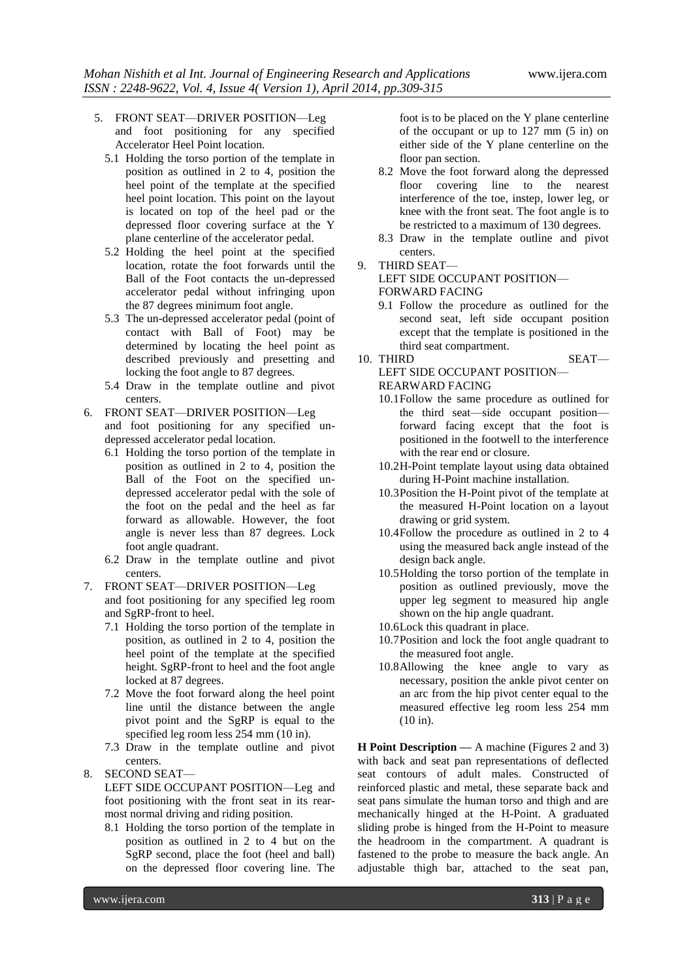- 5. FRONT SEAT—DRIVER POSITION—Leg and foot positioning for any specified Accelerator Heel Point location.
	- 5.1 Holding the torso portion of the template in position as outlined in 2 to 4, position the heel point of the template at the specified heel point location. This point on the layout is located on top of the heel pad or the depressed floor covering surface at the Y plane centerline of the accelerator pedal.
	- 5.2 Holding the heel point at the specified location, rotate the foot forwards until the Ball of the Foot contacts the un-depressed accelerator pedal without infringing upon the 87 degrees minimum foot angle.
	- 5.3 The un-depressed accelerator pedal (point of contact with Ball of Foot) may be determined by locating the heel point as described previously and presetting and locking the foot angle to 87 degrees.
	- 5.4 Draw in the template outline and pivot centers.
- 6. FRONT SEAT—DRIVER POSITION—Leg and foot positioning for any specified undepressed accelerator pedal location.
	- 6.1 Holding the torso portion of the template in position as outlined in 2 to 4, position the Ball of the Foot on the specified undepressed accelerator pedal with the sole of the foot on the pedal and the heel as far forward as allowable. However, the foot angle is never less than 87 degrees. Lock foot angle quadrant.
	- 6.2 Draw in the template outline and pivot centers.
- 7. FRONT SEAT—DRIVER POSITION—Leg and foot positioning for any specified leg room and SgRP-front to heel.
	- 7.1 Holding the torso portion of the template in position, as outlined in 2 to 4, position the heel point of the template at the specified height. SgRP-front to heel and the foot angle locked at 87 degrees.
	- 7.2 Move the foot forward along the heel point line until the distance between the angle pivot point and the SgRP is equal to the specified leg room less 254 mm (10 in).
	- 7.3 Draw in the template outline and pivot centers.
- 8. SECOND SEAT—

LEFT SIDE OCCUPANT POSITION—Leg and foot positioning with the front seat in its rearmost normal driving and riding position.

8.1 Holding the torso portion of the template in position as outlined in 2 to 4 but on the SgRP second, place the foot (heel and ball) on the depressed floor covering line. The

foot is to be placed on the Y plane centerline of the occupant or up to 127 mm (5 in) on either side of the Y plane centerline on the floor pan section.

- 8.2 Move the foot forward along the depressed floor covering line to the nearest interference of the toe, instep, lower leg, or knee with the front seat. The foot angle is to be restricted to a maximum of 130 degrees.
- 8.3 Draw in the template outline and pivot centers.

# 9. THIRD SEAT— LEFT SIDE OCCUPANT POSITION— FORWARD FACING

- 9.1 Follow the procedure as outlined for the second seat, left side occupant position except that the template is positioned in the third seat compartment.
- 10. THIRD SEAT— LEFT SIDE OCCUPANT POSITION— REARWARD FACING
	- 10.1Follow the same procedure as outlined for the third seat—side occupant position forward facing except that the foot is positioned in the footwell to the interference with the rear end or closure.
	- 10.2H-Point template layout using data obtained during H-Point machine installation.
	- 10.3Position the H-Point pivot of the template at the measured H-Point location on a layout drawing or grid system.
	- 10.4Follow the procedure as outlined in 2 to 4 using the measured back angle instead of the design back angle.
	- 10.5Holding the torso portion of the template in position as outlined previously, move the upper leg segment to measured hip angle shown on the hip angle quadrant.
	- 10.6Lock this quadrant in place.
	- 10.7Position and lock the foot angle quadrant to the measured foot angle.
	- 10.8Allowing the knee angle to vary as necessary, position the ankle pivot center on an arc from the hip pivot center equal to the measured effective leg room less 254 mm (10 in).

**H Point Description —** A machine (Figures 2 and 3) with back and seat pan representations of deflected seat contours of adult males. Constructed of reinforced plastic and metal, these separate back and seat pans simulate the human torso and thigh and are mechanically hinged at the H-Point. A graduated sliding probe is hinged from the H-Point to measure the headroom in the compartment. A quadrant is fastened to the probe to measure the back angle. An adjustable thigh bar, attached to the seat pan,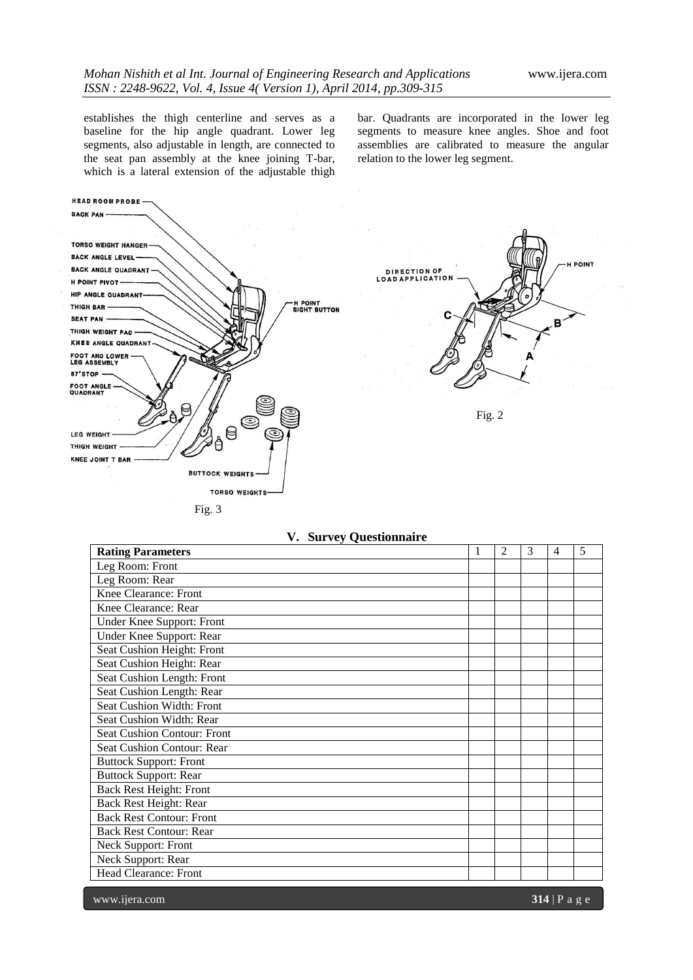establishes the thigh centerline and serves as a baseline for the hip angle quadrant. Lower leg segments, also adjustable in length, are connected to the seat pan assembly at the knee joining T-bar, which is a lateral extension of the adjustable thigh

bar. Quadrants are incorporated in the lower leg segments to measure knee angles. Shoe and foot assemblies are calibrated to measure the angular relation to the lower leg segment.



| $var(v, \chi)$ value $var(u)$<br><b>Rating Parameters</b> | 1 | $\overline{2}$ | 3 | $\overline{4}$ | 5 |
|-----------------------------------------------------------|---|----------------|---|----------------|---|
| Leg Room: Front                                           |   |                |   |                |   |
| Leg Room: Rear                                            |   |                |   |                |   |
| Knee Clearance: Front                                     |   |                |   |                |   |
| Knee Clearance: Rear                                      |   |                |   |                |   |
| Under Knee Support: Front                                 |   |                |   |                |   |
| Under Knee Support: Rear                                  |   |                |   |                |   |
| Seat Cushion Height: Front                                |   |                |   |                |   |
| Seat Cushion Height: Rear                                 |   |                |   |                |   |
| Seat Cushion Length: Front                                |   |                |   |                |   |
| Seat Cushion Length: Rear                                 |   |                |   |                |   |
| <b>Seat Cushion Width: Front</b>                          |   |                |   |                |   |
| Seat Cushion Width: Rear                                  |   |                |   |                |   |
| Seat Cushion Contour: Front                               |   |                |   |                |   |
| Seat Cushion Contour: Rear                                |   |                |   |                |   |
| <b>Buttock Support: Front</b>                             |   |                |   |                |   |
| <b>Buttock Support: Rear</b>                              |   |                |   |                |   |
| <b>Back Rest Height: Front</b>                            |   |                |   |                |   |
| Back Rest Height: Rear                                    |   |                |   |                |   |
| <b>Back Rest Contour: Front</b>                           |   |                |   |                |   |
| <b>Back Rest Contour: Rear</b>                            |   |                |   |                |   |
| Neck Support: Front                                       |   |                |   |                |   |
| Neck Support: Rear                                        |   |                |   |                |   |
| Head Clearance: Front                                     |   |                |   |                |   |

# **V. Survey Questionnaire**